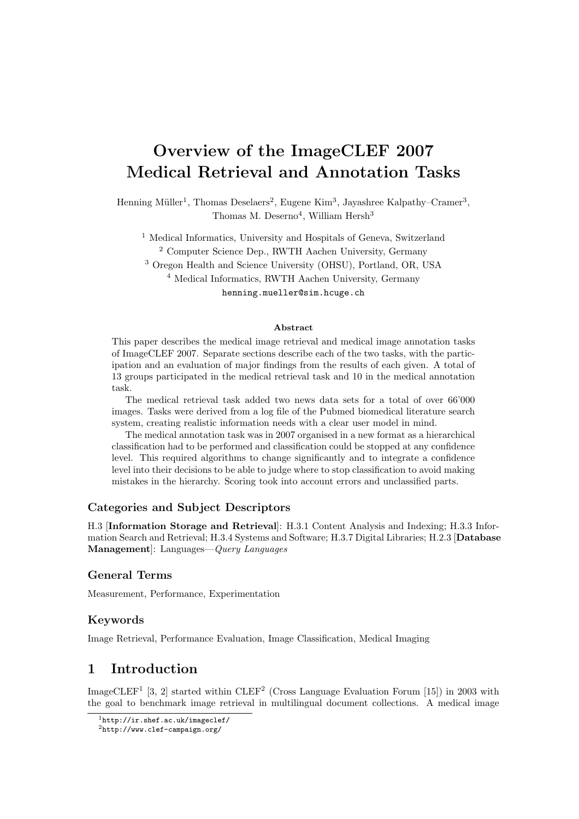# Overview of the ImageCLEF 2007 Medical Retrieval and Annotation Tasks

Henning Müller<sup>1</sup>, Thomas Deselaers<sup>2</sup>, Eugene Kim<sup>3</sup>, Jayashree Kalpathy–Cramer<sup>3</sup>, Thomas M. Deserno<sup>4</sup>, William Hersh<sup>3</sup>

 $^{\rm 1}$  Medical Informatics, University and Hospitals of Geneva, Switzerland <sup>2</sup> Computer Science Dep., RWTH Aachen University, Germany

<sup>3</sup> Oregon Health and Science University (OHSU), Portland, OR, USA

<sup>4</sup> Medical Informatics, RWTH Aachen University, Germany

henning.mueller@sim.hcuge.ch

#### Abstract

This paper describes the medical image retrieval and medical image annotation tasks of ImageCLEF 2007. Separate sections describe each of the two tasks, with the participation and an evaluation of major findings from the results of each given. A total of 13 groups participated in the medical retrieval task and 10 in the medical annotation task.

The medical retrieval task added two news data sets for a total of over 66'000 images. Tasks were derived from a log file of the Pubmed biomedical literature search system, creating realistic information needs with a clear user model in mind.

The medical annotation task was in 2007 organised in a new format as a hierarchical classification had to be performed and classification could be stopped at any confidence level. This required algorithms to change significantly and to integrate a confidence level into their decisions to be able to judge where to stop classification to avoid making mistakes in the hierarchy. Scoring took into account errors and unclassified parts.

# Categories and Subject Descriptors

H.3 [Information Storage and Retrieval]: H.3.1 Content Analysis and Indexing; H.3.3 Information Search and Retrieval; H.3.4 Systems and Software; H.3.7 Digital Libraries; H.2.3 [Database Management]: Languages—Query Languages

### General Terms

Measurement, Performance, Experimentation

### Keywords

Image Retrieval, Performance Evaluation, Image Classification, Medical Imaging

# 1 Introduction

ImageCLEF<sup>1</sup> [3, 2] started within CLEF<sup>2</sup> (Cross Language Evaluation Forum [15]) in 2003 with the goal to benchmark image retrieval in multilingual document collections. A medical image

<sup>2</sup>http://www.clef-campaign.org/

<sup>1</sup>http://ir.shef.ac.uk/imageclef/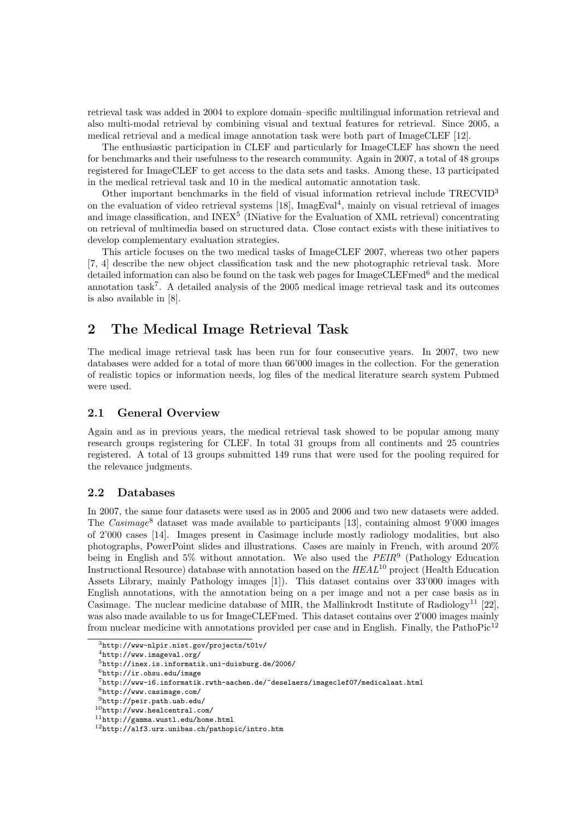retrieval task was added in 2004 to explore domain–specific multilingual information retrieval and also multi-modal retrieval by combining visual and textual features for retrieval. Since 2005, a medical retrieval and a medical image annotation task were both part of ImageCLEF [12].

The enthusiastic participation in CLEF and particularly for ImageCLEF has shown the need for benchmarks and their usefulness to the research community. Again in 2007, a total of 48 groups registered for ImageCLEF to get access to the data sets and tasks. Among these, 13 participated in the medical retrieval task and 10 in the medical automatic annotation task.

Other important benchmarks in the field of visual information retrieval include TRECVID<sup>3</sup> on the evaluation of video retrieval systems [18], ImagEval<sup>4</sup>, mainly on visual retrieval of images and image classification, and  $INEX<sup>5</sup>$  (INiative for the Evaluation of XML retrieval) concentrating on retrieval of multimedia based on structured data. Close contact exists with these initiatives to develop complementary evaluation strategies.

This article focuses on the two medical tasks of ImageCLEF 2007, whereas two other papers [7, 4] describe the new object classification task and the new photographic retrieval task. More detailed information can also be found on the task web pages for ImageCLEF med<sup>6</sup> and the medical annotation task<sup>7</sup> . A detailed analysis of the 2005 medical image retrieval task and its outcomes is also available in [8].

# 2 The Medical Image Retrieval Task

The medical image retrieval task has been run for four consecutive years. In 2007, two new databases were added for a total of more than 66'000 images in the collection. For the generation of realistic topics or information needs, log files of the medical literature search system Pubmed were used.

# 2.1 General Overview

Again and as in previous years, the medical retrieval task showed to be popular among many research groups registering for CLEF. In total 31 groups from all continents and 25 countries registered. A total of 13 groups submitted 149 runs that were used for the pooling required for the relevance judgments.

### 2.2 Databases

In 2007, the same four datasets were used as in 2005 and 2006 and two new datasets were added. The  $\text{Casimage}^8$  dataset was made available to participants [13], containing almost 9'000 images of 2'000 cases [14]. Images present in Casimage include mostly radiology modalities, but also photographs, PowerPoint slides and illustrations. Cases are mainly in French, with around 20% being in English and 5% without annotation. We also used the PEIR<sup>9</sup> (Pathology Education Instructional Resource) database with annotation based on the  $HEAL<sup>10</sup>$  project (Health Education Assets Library, mainly Pathology images [1]). This dataset contains over 33'000 images with English annotations, with the annotation being on a per image and not a per case basis as in Casimage. The nuclear medicine database of MIR, the Mallinkrodt Institute of Radiology<sup>11</sup> [22], was also made available to us for ImageCLEFmed. This dataset contains over 2'000 images mainly from nuclear medicine with annotations provided per case and in English. Finally, the PathoPic<sup>12</sup>

<sup>3</sup>http://www-nlpir.nist.gov/projects/t01v/

<sup>4</sup>http://www.imageval.org/

<sup>5</sup>http://inex.is.informatik.uni-duisburg.de/2006/

 $6$ http://ir.ohsu.edu/image

 $7$ http://www-i6.informatik.rwth-aachen.de/ $\text{``deselaers/imagecle}$ f07/medicalaat.html

<sup>8</sup>http://www.casimage.com/

<sup>9</sup>http://peir.path.uab.edu/

<sup>10</sup>http://www.healcentral.com/

 $^{11}\mathrm{http://gamma.wust1.edu/home.html}$ 

<sup>12</sup>http://alf3.urz.unibas.ch/pathopic/intro.htm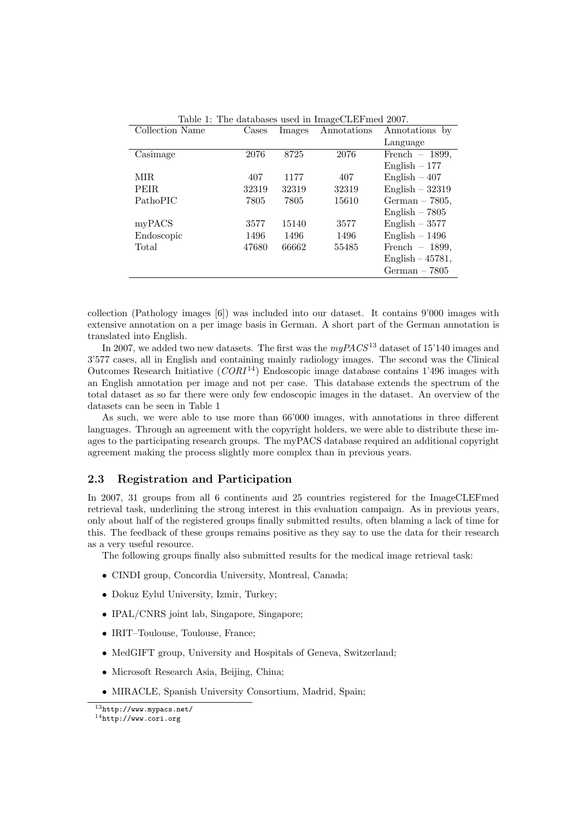| Collection Name | Cases | Images | Annotations | Annotations by     |
|-----------------|-------|--------|-------------|--------------------|
|                 |       |        |             | Language           |
| Casimage        | 2076  | 8725   | 2076        | French $-1899$ .   |
|                 |       |        |             | English $-177$     |
| MIR.            | 407   | 1177   | 407         | English $-407$     |
| <b>PEIR</b>     | 32319 | 32319  | 32319       | English $-32319$   |
| PathoPIC        | 7805  | 7805   | 15610       | $German - 7805,$   |
|                 |       |        |             | English $-7805$    |
| myPACS          | 3577  | 15140  | 3577        | $English - 3577$   |
| Endoscopic      | 1496  | 1496   | 1496        | English $-1496$    |
| Total           | 47680 | 66662  | 55485       | French $-1899$ .   |
|                 |       |        |             | English $-45781$ , |
|                 |       |        |             | $German - 7805$    |
|                 |       |        |             |                    |

| Table 1: The databases used in ImageCLEF med 2007. |  |  |
|----------------------------------------------------|--|--|
|----------------------------------------------------|--|--|

collection (Pathology images [6]) was included into our dataset. It contains 9'000 images with extensive annotation on a per image basis in German. A short part of the German annotation is translated into English.

In 2007, we added two new datasets. The first was the  $myPACS^{13}$  dataset of 15'140 images and 3'577 cases, all in English and containing mainly radiology images. The second was the Clinical Outcomes Research Initiative  $(CORI<sup>14</sup>)$  Endoscopic image database contains 1'496 images with an English annotation per image and not per case. This database extends the spectrum of the total dataset as so far there were only few endoscopic images in the dataset. An overview of the datasets can be seen in Table 1

As such, we were able to use more than 66'000 images, with annotations in three different languages. Through an agreement with the copyright holders, we were able to distribute these images to the participating research groups. The myPACS database required an additional copyright agreement making the process slightly more complex than in previous years.

### 2.3 Registration and Participation

In 2007, 31 groups from all 6 continents and 25 countries registered for the ImageCLEFmed retrieval task, underlining the strong interest in this evaluation campaign. As in previous years, only about half of the registered groups finally submitted results, often blaming a lack of time for this. The feedback of these groups remains positive as they say to use the data for their research as a very useful resource.

The following groups finally also submitted results for the medical image retrieval task:

- CINDI group, Concordia University, Montreal, Canada;
- Dokuz Eylul University, Izmir, Turkey;
- IPAL/CNRS joint lab, Singapore, Singapore;
- IRIT–Toulouse, Toulouse, France;
- MedGIFT group, University and Hospitals of Geneva, Switzerland;
- Microsoft Research Asia, Beijing, China;
- MIRACLE, Spanish University Consortium, Madrid, Spain;

<sup>13</sup>http://www.mypacs.net/

<sup>14</sup>http://www.cori.org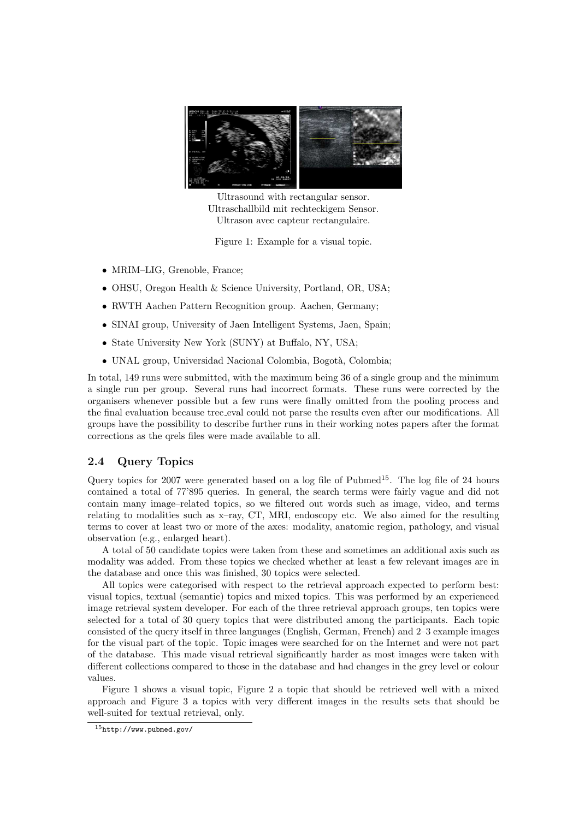

Ultrasound with rectangular sensor. Ultraschallbild mit rechteckigem Sensor. Ultrason avec capteur rectangulaire.

Figure 1: Example for a visual topic.

- MRIM–LIG, Grenoble, France;
- OHSU, Oregon Health & Science University, Portland, OR, USA;
- RWTH Aachen Pattern Recognition group. Aachen, Germany;
- SINAI group, University of Jaen Intelligent Systems, Jaen, Spain;
- State University New York (SUNY) at Buffalo, NY, USA;
- UNAL group, Universidad Nacional Colombia, Bogotà, Colombia;

In total, 149 runs were submitted, with the maximum being 36 of a single group and the minimum a single run per group. Several runs had incorrect formats. These runs were corrected by the organisers whenever possible but a few runs were finally omitted from the pooling process and the final evaluation because trec eval could not parse the results even after our modifications. All groups have the possibility to describe further runs in their working notes papers after the format corrections as the qrels files were made available to all.

# 2.4 Query Topics

Query topics for 2007 were generated based on a log file of Pubmed<sup>15</sup>. The log file of 24 hours contained a total of 77'895 queries. In general, the search terms were fairly vague and did not contain many image–related topics, so we filtered out words such as image, video, and terms relating to modalities such as x–ray, CT, MRI, endoscopy etc. We also aimed for the resulting terms to cover at least two or more of the axes: modality, anatomic region, pathology, and visual observation (e.g., enlarged heart).

A total of 50 candidate topics were taken from these and sometimes an additional axis such as modality was added. From these topics we checked whether at least a few relevant images are in the database and once this was finished, 30 topics were selected.

All topics were categorised with respect to the retrieval approach expected to perform best: visual topics, textual (semantic) topics and mixed topics. This was performed by an experienced image retrieval system developer. For each of the three retrieval approach groups, ten topics were selected for a total of 30 query topics that were distributed among the participants. Each topic consisted of the query itself in three languages (English, German, French) and 2–3 example images for the visual part of the topic. Topic images were searched for on the Internet and were not part of the database. This made visual retrieval significantly harder as most images were taken with different collections compared to those in the database and had changes in the grey level or colour values.

Figure 1 shows a visual topic, Figure 2 a topic that should be retrieved well with a mixed approach and Figure 3 a topics with very different images in the results sets that should be well-suited for textual retrieval, only.

<sup>15</sup>http://www.pubmed.gov/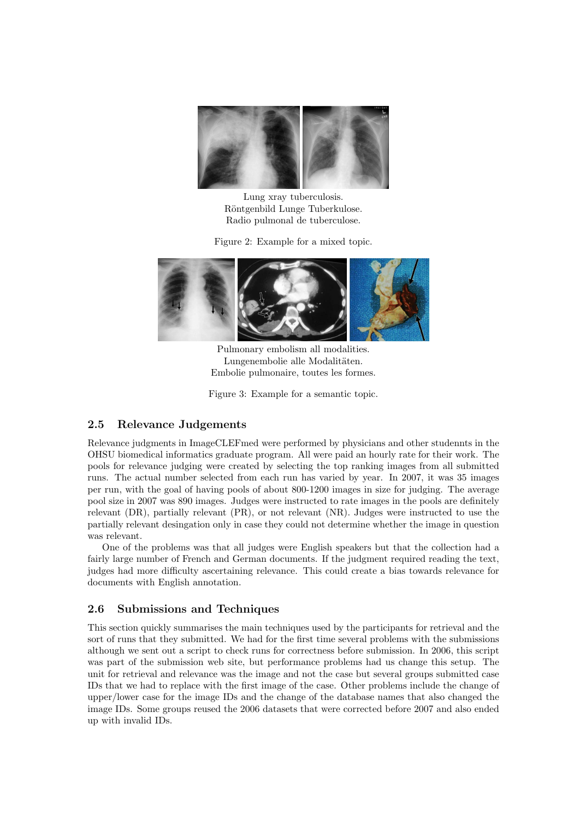

Lung xray tuberculosis. Röntgenbild Lunge Tuberkulose. Radio pulmonal de tuberculose.

Figure 2: Example for a mixed topic.



Pulmonary embolism all modalities. Lungenembolie alle Modalitäten. Embolie pulmonaire, toutes les formes.

Figure 3: Example for a semantic topic.

# 2.5 Relevance Judgements

Relevance judgments in ImageCLEFmed were performed by physicians and other studennts in the OHSU biomedical informatics graduate program. All were paid an hourly rate for their work. The pools for relevance judging were created by selecting the top ranking images from all submitted runs. The actual number selected from each run has varied by year. In 2007, it was 35 images per run, with the goal of having pools of about 800-1200 images in size for judging. The average pool size in 2007 was 890 images. Judges were instructed to rate images in the pools are definitely relevant (DR), partially relevant (PR), or not relevant (NR). Judges were instructed to use the partially relevant desingation only in case they could not determine whether the image in question was relevant.

One of the problems was that all judges were English speakers but that the collection had a fairly large number of French and German documents. If the judgment required reading the text, judges had more difficulty ascertaining relevance. This could create a bias towards relevance for documents with English annotation.

# 2.6 Submissions and Techniques

This section quickly summarises the main techniques used by the participants for retrieval and the sort of runs that they submitted. We had for the first time several problems with the submissions although we sent out a script to check runs for correctness before submission. In 2006, this script was part of the submission web site, but performance problems had us change this setup. The unit for retrieval and relevance was the image and not the case but several groups submitted case IDs that we had to replace with the first image of the case. Other problems include the change of upper/lower case for the image IDs and the change of the database names that also changed the image IDs. Some groups reused the 2006 datasets that were corrected before 2007 and also ended up with invalid IDs.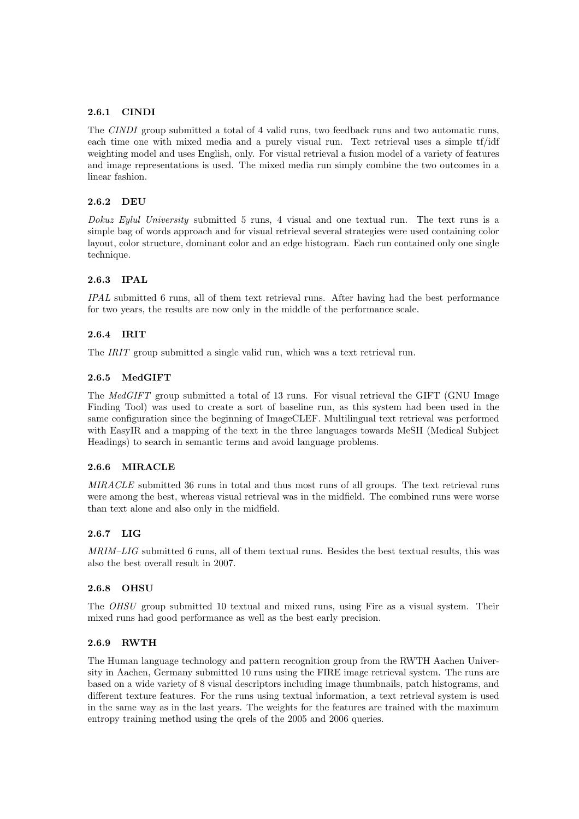#### 2.6.1 CINDI

The CINDI group submitted a total of 4 valid runs, two feedback runs and two automatic runs, each time one with mixed media and a purely visual run. Text retrieval uses a simple tf/idf weighting model and uses English, only. For visual retrieval a fusion model of a variety of features and image representations is used. The mixed media run simply combine the two outcomes in a linear fashion.

#### 2.6.2 DEU

Dokuz Eylul University submitted 5 runs, 4 visual and one textual run. The text runs is a simple bag of words approach and for visual retrieval several strategies were used containing color layout, color structure, dominant color and an edge histogram. Each run contained only one single technique.

#### 2.6.3 IPAL

IPAL submitted 6 runs, all of them text retrieval runs. After having had the best performance for two years, the results are now only in the middle of the performance scale.

#### 2.6.4 IRIT

The IRIT group submitted a single valid run, which was a text retrieval run.

#### 2.6.5 MedGIFT

The MedGIFT group submitted a total of 13 runs. For visual retrieval the GIFT (GNU Image Finding Tool) was used to create a sort of baseline run, as this system had been used in the same configuration since the beginning of ImageCLEF. Multilingual text retrieval was performed with EasyIR and a mapping of the text in the three languages towards MeSH (Medical Subject Headings) to search in semantic terms and avoid language problems.

#### 2.6.6 MIRACLE

MIRACLE submitted 36 runs in total and thus most runs of all groups. The text retrieval runs were among the best, whereas visual retrieval was in the midfield. The combined runs were worse than text alone and also only in the midfield.

#### 2.6.7 LIG

 $MRIM-LIG$  submitted 6 runs, all of them textual runs. Besides the best textual results, this was also the best overall result in 2007.

#### 2.6.8 OHSU

The OHSU group submitted 10 textual and mixed runs, using Fire as a visual system. Their mixed runs had good performance as well as the best early precision.

#### 2.6.9 RWTH

The Human language technology and pattern recognition group from the RWTH Aachen University in Aachen, Germany submitted 10 runs using the FIRE image retrieval system. The runs are based on a wide variety of 8 visual descriptors including image thumbnails, patch histograms, and different texture features. For the runs using textual information, a text retrieval system is used in the same way as in the last years. The weights for the features are trained with the maximum entropy training method using the qrels of the 2005 and 2006 queries.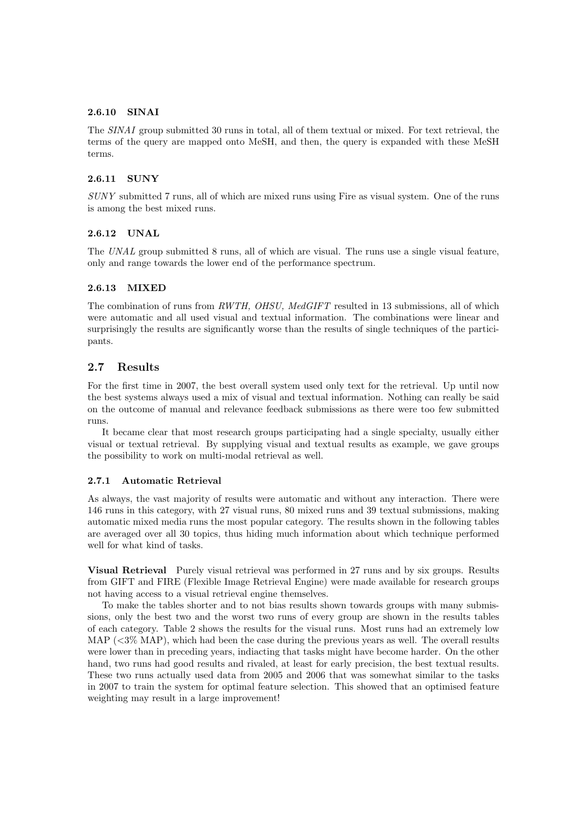#### 2.6.10 SINAI

The SINAI group submitted 30 runs in total, all of them textual or mixed. For text retrieval, the terms of the query are mapped onto MeSH, and then, the query is expanded with these MeSH terms.

#### 2.6.11 SUNY

SUNY submitted 7 runs, all of which are mixed runs using Fire as visual system. One of the runs is among the best mixed runs.

# 2.6.12 UNAL

The UNAL group submitted 8 runs, all of which are visual. The runs use a single visual feature, only and range towards the lower end of the performance spectrum.

#### 2.6.13 MIXED

The combination of runs from RWTH, OHSU, MedGIFT resulted in 13 submissions, all of which were automatic and all used visual and textual information. The combinations were linear and surprisingly the results are significantly worse than the results of single techniques of the participants.

# 2.7 Results

For the first time in 2007, the best overall system used only text for the retrieval. Up until now the best systems always used a mix of visual and textual information. Nothing can really be said on the outcome of manual and relevance feedback submissions as there were too few submitted runs.

It became clear that most research groups participating had a single specialty, usually either visual or textual retrieval. By supplying visual and textual results as example, we gave groups the possibility to work on multi-modal retrieval as well.

#### 2.7.1 Automatic Retrieval

As always, the vast majority of results were automatic and without any interaction. There were 146 runs in this category, with 27 visual runs, 80 mixed runs and 39 textual submissions, making automatic mixed media runs the most popular category. The results shown in the following tables are averaged over all 30 topics, thus hiding much information about which technique performed well for what kind of tasks.

Visual Retrieval Purely visual retrieval was performed in 27 runs and by six groups. Results from GIFT and FIRE (Flexible Image Retrieval Engine) were made available for research groups not having access to a visual retrieval engine themselves.

To make the tables shorter and to not bias results shown towards groups with many submissions, only the best two and the worst two runs of every group are shown in the results tables of each category. Table 2 shows the results for the visual runs. Most runs had an extremely low MAP  $( $3\%$  MAP)$ , which had been the case during the previous years as well. The overall results were lower than in preceding years, indiacting that tasks might have become harder. On the other hand, two runs had good results and rivaled, at least for early precision, the best textual results. These two runs actually used data from 2005 and 2006 that was somewhat similar to the tasks in 2007 to train the system for optimal feature selection. This showed that an optimised feature weighting may result in a large improvement!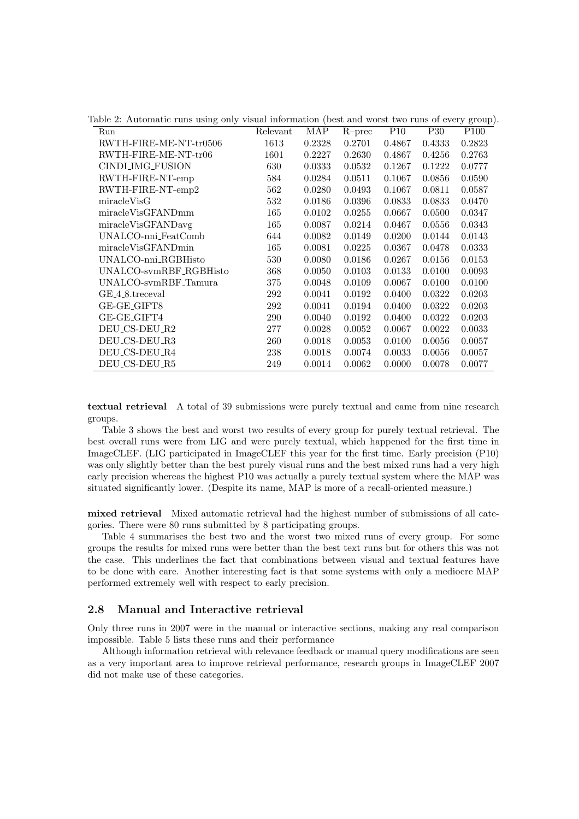| Lable 2. Automatic runs using only visual information (best and worst two runs of every group).<br>Run | Relevant | MAP    | $R$ -prec | P10    | P30    | P <sub>100</sub> |
|--------------------------------------------------------------------------------------------------------|----------|--------|-----------|--------|--------|------------------|
| RWTH-FIRE-ME-NT-tr0506                                                                                 | 1613     | 0.2328 | 0.2701    | 0.4867 | 0.4333 | 0.2823           |
| RWTH-FIRE-ME-NT-tr06                                                                                   | 1601     | 0.2227 | 0.2630    | 0.4867 | 0.4256 | 0.2763           |
| CINDI_IMG_FUSION                                                                                       | 630      | 0.0333 | 0.0532    | 0.1267 | 0.1222 | 0.0777           |
| RWTH-FIRE-NT-emp                                                                                       | 584      | 0.0284 | 0.0511    | 0.1067 | 0.0856 | 0.0590           |
| RWTH-FIRE-NT-emp2                                                                                      | 562      | 0.0280 | 0.0493    | 0.1067 | 0.0811 | 0.0587           |
| miracleVisG                                                                                            | 532      | 0.0186 | 0.0396    | 0.0833 | 0.0833 | 0.0470           |
| miracleVisGFANDmm                                                                                      | 165      | 0.0102 | 0.0255    | 0.0667 | 0.0500 | 0.0347           |
| miracleVisGFANDavg                                                                                     | 165      | 0.0087 | 0.0214    | 0.0467 | 0.0556 | 0.0343           |
| $UNALCO-nni_FeatComb$                                                                                  | 644      | 0.0082 | 0.0149    | 0.0200 | 0.0144 | 0.0143           |
| miracleVisGFANDmin                                                                                     | 165      | 0.0081 | 0.0225    | 0.0367 | 0.0478 | 0.0333           |
| UNALCO-nni_RGBHisto                                                                                    | 530      | 0.0080 | 0.0186    | 0.0267 | 0.0156 | 0.0153           |
| UNALCO-symRBF_RGBHisto                                                                                 | 368      | 0.0050 | 0.0103    | 0.0133 | 0.0100 | 0.0093           |
| UNALCO-svmRBF_Tamura                                                                                   | 375      | 0.0048 | 0.0109    | 0.0067 | 0.0100 | 0.0100           |
| GE <sub>4.8</sub> .treceval                                                                            | 292      | 0.0041 | 0.0192    | 0.0400 | 0.0322 | 0.0203           |
| GE-GE <sub>-</sub> GIFT8                                                                               | 292      | 0.0041 | 0.0194    | 0.0400 | 0.0322 | 0.0203           |
| GE-GE <sub>-</sub> GIFT4                                                                               | 290      | 0.0040 | 0.0192    | 0.0400 | 0.0322 | 0.0203           |
| DEU_CS-DEU_R2                                                                                          | 277      | 0.0028 | 0.0052    | 0.0067 | 0.0022 | 0.0033           |
| DEU_CS-DEU_R3                                                                                          | 260      | 0.0018 | 0.0053    | 0.0100 | 0.0056 | 0.0057           |
| DEU_CS-DEU_R4                                                                                          | 238      | 0.0018 | 0.0074    | 0.0033 | 0.0056 | 0.0057           |
| DEU_CS-DEU_R5                                                                                          | 249      | 0.0014 | 0.0062    | 0.0000 | 0.0078 | 0.0077           |

Table 2: Automatic runs using only visual information (best and worst two runs of every group).

textual retrieval A total of 39 submissions were purely textual and came from nine research groups.

Table 3 shows the best and worst two results of every group for purely textual retrieval. The best overall runs were from LIG and were purely textual, which happened for the first time in ImageCLEF. (LIG participated in ImageCLEF this year for the first time. Early precision (P10) was only slightly better than the best purely visual runs and the best mixed runs had a very high early precision whereas the highest P10 was actually a purely textual system where the MAP was situated significantly lower. (Despite its name, MAP is more of a recall-oriented measure.)

mixed retrieval Mixed automatic retrieval had the highest number of submissions of all categories. There were 80 runs submitted by 8 participating groups.

Table 4 summarises the best two and the worst two mixed runs of every group. For some groups the results for mixed runs were better than the best text runs but for others this was not the case. This underlines the fact that combinations between visual and textual features have to be done with care. Another interesting fact is that some systems with only a mediocre MAP performed extremely well with respect to early precision.

#### 2.8 Manual and Interactive retrieval

Only three runs in 2007 were in the manual or interactive sections, making any real comparison impossible. Table 5 lists these runs and their performance

Although information retrieval with relevance feedback or manual query modifications are seen as a very important area to improve retrieval performance, research groups in ImageCLEF 2007 did not make use of these categories.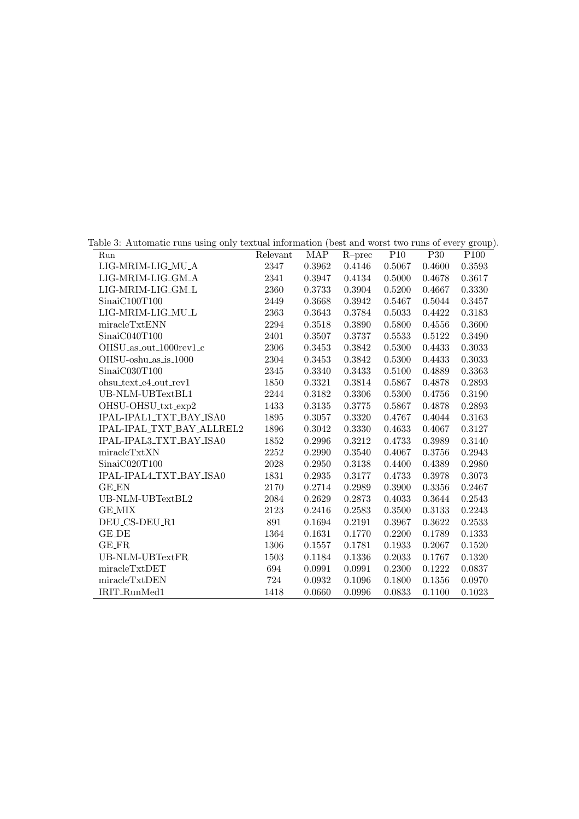Run Relevant MAP R–prec P10 P30 P100 LIG-MRIM-LIG MU A 2347 0.3962 0.4146 0.5067 0.4600 0.3593 LIG-MRIM-LIG GM A 2341 0.3947 0.4134 0.5000 0.4678 0.3617 LIG-MRIM-LIG GM L 2360 0.3733 0.3904 0.5200 0.4667 0.3330 SinaiC100T100 2449 0.3668 0.3942 0.5467 0.5044 0.3457 LIG-MRIM-LIG MU L 2363 0.3643 0.3784 0.5033 0.4422 0.3183 miracleTxtENN 2294 0.3518 0.3890 0.5800 0.4556 0.3600 SinaiC040T100 2401 0.3507 0.3737 0.5533 0.5122 0.3490 OHSU as out 1000rev1 c 2306 0.3453 0.3842 0.5300 0.4433 0.3033 OHSU-oshu as is 1000 2304 0.3453 0.3842 0.5300 0.4433 0.3033 SinaiC030T100 2345 0.3340 0.3433 0.5100 0.4889 0.3363 ohsu text e4 out rev1 1850 0.3321 0.3814 0.5867 0.4878 0.2893 UB-NLM-UBTextBL1 2244 0.3182 0.3306 0.5300 0.4756 0.3190 OHSU-OHSU txt exp2 1433 0.3135 0.3775 0.5867 0.4878 0.2893 IPAL-IPAL1 TXT BAY ISA0 1895 0.3057 0.3320 0.4767 0.4044 0.3163 IPAL-IPAL TXT BAY ALLREL2 1896 0.3042 0.3330 0.4633 0.4067 0.3127 IPAL-IPAL3 TXT BAY ISA0 1852 0.2996 0.3212 0.4733 0.3989 0.3140 miracleTxtXN 2252 0.2990 0.3540 0.4067 0.3756 0.2943 SinaiC020T100 2028 0.2950 0.3138 0.4400 0.4389 0.2980 IPAL-IPAL4 TXT BAY ISA0 1831 0.2935 0.3177 0.4733 0.3978 0.3073 GE\_EN 2170 0.2714 0.2989 0.3900 0.3356 0.2467 UB-NLM-UBTextBL2 2084 0.2629 0.2873 0.4033 0.3644 0.2543 GE MIX 2123 0.2416 0.2583 0.3500 0.3133 0.2243 DEU CS-DEU R1 891 0.1694 0.2191 0.3967 0.3622 0.2533 GE\_DE 1364 0.1631 0.1770 0.2200 0.1789 0.1333 GE\_FR 1306 0.1557 0.1781 0.1933 0.2067 0.1520 UB-NLM-UBTextFR 1503 0.1184 0.1336 0.2033 0.1767 0.1320 miracleTxtDET 694 0.0991 0.0991 0.2300 0.1222 0.0837 miracleTxtDEN 724 0.0932 0.1096 0.1800 0.1356 0.0970 IRIT RunMed1 1418 0.0660 0.0996 0.0833 0.1100 0.1023

Table 3: Automatic runs using only textual information (best and worst two runs of every group).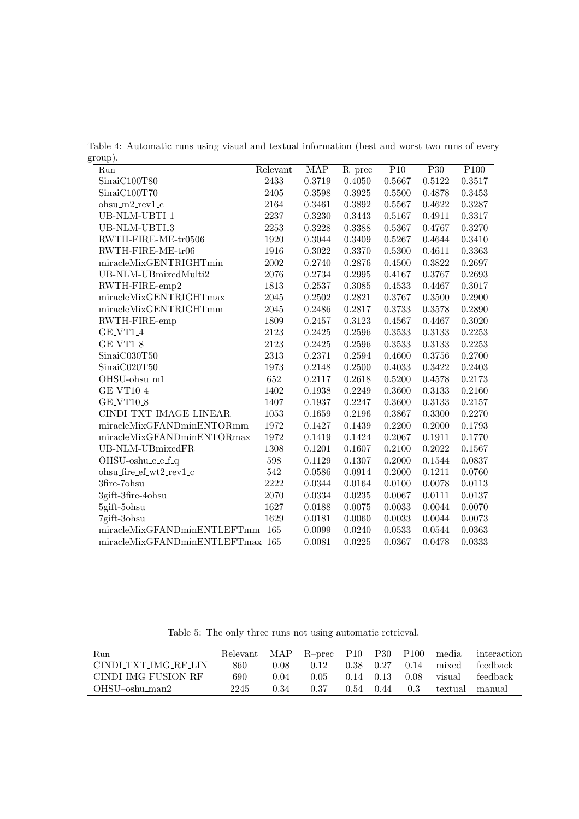Table 4: Automatic runs using visual and textual information (best and worst two runs of every group).  $\overline{a}$ 

| $\mathbf{r}$<br>Run               | Relevant   | MAP    | $R$ -prec  | P10    | P <sub>30</sub> | P <sub>100</sub> |
|-----------------------------------|------------|--------|------------|--------|-----------------|------------------|
| SinaiC100T80                      | 2433       | 0.3719 | 0.4050     | 0.5667 | 0.5122          | 0.3517           |
| SinaiC100T70                      | 2405       | 0.3598 | 0.3925     | 0.5500 | 0.4878          | 0.3453           |
| $ohsu_m2$ -rev $1_c$              | 2164       | 0.3461 | 0.3892     | 0.5567 | 0.4622          | 0.3287           |
| UB-NLM-UBTI <sub>-1</sub>         | 2237       | 0.3230 | 0.3443     | 0.5167 | 0.4911          | 0.3317           |
| UB-NLM-UBTI <sub>-3</sub>         | 2253       | 0.3228 | $0.3388\,$ | 0.5367 | 0.4767          | 0.3270           |
| RWTH-FIRE-ME-tr0506               | 1920       | 0.3044 | 0.3409     | 0.5267 | 0.4644          | 0.3410           |
| RWTH-FIRE-ME-tr06                 | 1916       | 0.3022 | 0.3370     | 0.5300 | 0.4611          | 0.3363           |
| miracleMixGENTRIGHTmin            | $\,2002\,$ | 0.2740 | 0.2876     | 0.4500 | 0.3822          | 0.2697           |
| UB-NLM-UBmixedMulti2              | 2076       | 0.2734 | 0.2995     | 0.4167 | 0.3767          | 0.2693           |
| RWTH-FIRE-emp2                    | 1813       | 0.2537 | 0.3085     | 0.4533 | 0.4467          | 0.3017           |
| mira cleMixGENTRIGHTmax           | 2045       | 0.2502 | 0.2821     | 0.3767 | 0.3500          | 0.2900           |
| mira cleMixGENTRIGHTmm            | 2045       | 0.2486 | 0.2817     | 0.3733 | 0.3578          | 0.2890           |
| RWTH-FIRE-emp                     | 1809       | 0.2457 | 0.3123     | 0.4567 | 0.4467          | 0.3020           |
| GE_VT1_4                          | 2123       | 0.2425 | 0.2596     | 0.3533 | 0.3133          | 0.2253           |
| GE_VT1_8                          | 2123       | 0.2425 | 0.2596     | 0.3533 | 0.3133          | 0.2253           |
| SinaiC030T50                      | 2313       | 0.2371 | 0.2594     | 0.4600 | 0.3756          | 0.2700           |
| SinaiC020T50                      | 1973       | 0.2148 | 0.2500     | 0.4033 | 0.3422          | 0.2403           |
| OHSU-ohsu_m1                      | 652        | 0.2117 | 0.2618     | 0.5200 | 0.4578          | 0.2173           |
| <b>GE_VT10_4</b>                  | 1402       | 0.1938 | 0.2249     | 0.3600 | 0.3133          | 0.2160           |
| <b>GE_VT10_8</b>                  | 1407       | 0.1937 | 0.2247     | 0.3600 | 0.3133          | 0.2157           |
| CINDI_TXT_IMAGE_LINEAR            | 1053       | 0.1659 | 0.2196     | 0.3867 | 0.3300          | 0.2270           |
| $\rm miracleMixGFANDminENTORM$    | 1972       | 0.1427 | 0.1439     | 0.2200 | 0.2000          | 0.1793           |
| miracleMixGFANDminENTORmax        | 1972       | 0.1419 | 0.1424     | 0.2067 | 0.1911          | 0.1770           |
| UB-NLM-UBmixedFR                  | 1308       | 0.1201 | 0.1607     | 0.2100 | 0.2022          | 0.1567           |
| OHSU-oshu_c_e_f_q                 | 598        | 0.1129 | 0.1307     | 0.2000 | 0.1544          | 0.0837           |
| ohsu_fire_ef_wt2_rev1_c           | 542        | 0.0586 | 0.0914     | 0.2000 | 0.1211          | 0.0760           |
| 3fire-7ohsu                       | 2222       | 0.0344 | 0.0164     | 0.0100 | 0.0078          | 0.0113           |
| 3gift-3fire-4ohsu                 | 2070       | 0.0334 | 0.0235     | 0.0067 | 0.0111          | 0.0137           |
| 5gift-5ohsu                       | 1627       | 0.0188 | 0.0075     | 0.0033 | 0.0044          | 0.0070           |
| 7gift-3ohsu                       | 1629       | 0.0181 | 0.0060     | 0.0033 | 0.0044          | 0.0073           |
| $\rm miracleMixGFANDminENTLEFTmm$ | 165        | 0.0099 | 0.0240     | 0.0533 | 0.0544          | 0.0363           |
| miracleMixGFANDminENTLEFTmax 165  |            | 0.0081 | 0.0225     | 0.0367 | 0.0478          | 0.0333           |

Table 5: The only three runs not using automatic retrieval.

| Run                  |      |      |          |  |                                    | Relevant MAP R-prec P10 P30 P100 media interaction |
|----------------------|------|------|----------|--|------------------------------------|----------------------------------------------------|
| CINDI TXT IMG RF LIN | 860. | 0.08 | $0.12 -$ |  | 0.38 0.27 0.14 mixed               | feedback                                           |
|                      |      |      |          |  |                                    |                                                    |
| CINDI IMG FUSION RF  | 690  | 0.04 |          |  |                                    | $0.05$ $0.14$ $0.13$ $0.08$ visual feedback        |
| OHSU–oshu_man2       | 2245 | 0.34 | 0.37     |  | $0.54$ $0.44$ $0.3$ textual manual |                                                    |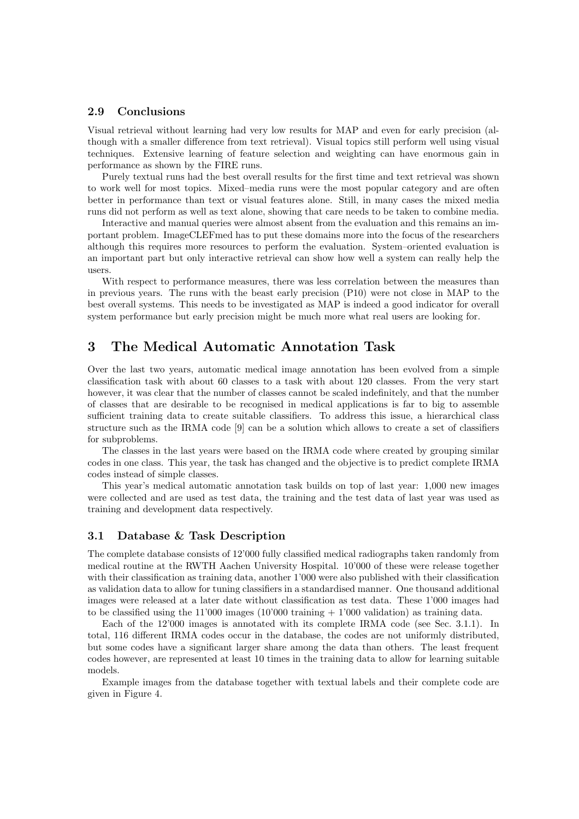#### 2.9 Conclusions

Visual retrieval without learning had very low results for MAP and even for early precision (although with a smaller difference from text retrieval). Visual topics still perform well using visual techniques. Extensive learning of feature selection and weighting can have enormous gain in performance as shown by the FIRE runs.

Purely textual runs had the best overall results for the first time and text retrieval was shown to work well for most topics. Mixed–media runs were the most popular category and are often better in performance than text or visual features alone. Still, in many cases the mixed media runs did not perform as well as text alone, showing that care needs to be taken to combine media.

Interactive and manual queries were almost absent from the evaluation and this remains an important problem. ImageCLEFmed has to put these domains more into the focus of the researchers although this requires more resources to perform the evaluation. System–oriented evaluation is an important part but only interactive retrieval can show how well a system can really help the users.

With respect to performance measures, there was less correlation between the measures than in previous years. The runs with the beast early precision (P10) were not close in MAP to the best overall systems. This needs to be investigated as MAP is indeed a good indicator for overall system performance but early precision might be much more what real users are looking for.

# 3 The Medical Automatic Annotation Task

Over the last two years, automatic medical image annotation has been evolved from a simple classification task with about 60 classes to a task with about 120 classes. From the very start however, it was clear that the number of classes cannot be scaled indefinitely, and that the number of classes that are desirable to be recognised in medical applications is far to big to assemble sufficient training data to create suitable classifiers. To address this issue, a hierarchical class structure such as the IRMA code [9] can be a solution which allows to create a set of classifiers for subproblems.

The classes in the last years were based on the IRMA code where created by grouping similar codes in one class. This year, the task has changed and the objective is to predict complete IRMA codes instead of simple classes.

This year's medical automatic annotation task builds on top of last year: 1,000 new images were collected and are used as test data, the training and the test data of last year was used as training and development data respectively.

#### 3.1 Database & Task Description

The complete database consists of 12'000 fully classified medical radiographs taken randomly from medical routine at the RWTH Aachen University Hospital. 10'000 of these were release together with their classification as training data, another 1'000 were also published with their classification as validation data to allow for tuning classifiers in a standardised manner. One thousand additional images were released at a later date without classification as test data. These 1'000 images had to be classified using the  $11'000$  images  $(10'000 \text{ training} + 1'000 \text{ validation})$  as training data.

Each of the 12'000 images is annotated with its complete IRMA code (see Sec. 3.1.1). In total, 116 different IRMA codes occur in the database, the codes are not uniformly distributed, but some codes have a significant larger share among the data than others. The least frequent codes however, are represented at least 10 times in the training data to allow for learning suitable models.

Example images from the database together with textual labels and their complete code are given in Figure 4.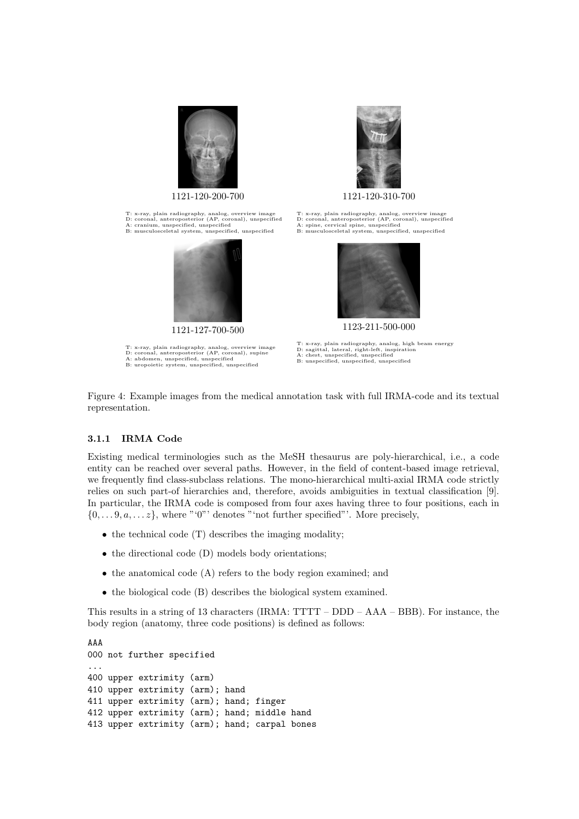

1121-120-200-700

T: x-ray, plain radiography, analog, overview image D: coronal, anteroposterior (AP, coronal), unspecified A: cranium, unspecified, unspecified B: musculosceletal system, unspecified, unspecified



1121-127-700-500

T: x-ray, plain radiography, analog, overview image D: coronal, anteroposterior (AP, coronal), supine A: abdomen, unspecified, unspecified B: uropoietic system, unspecified, unspecified



#### 1121-120-310-700

T: x-ray, plain radiography, analog, overview image D: coronal, anteroposterior (AP, coronal), unspecified A: spine, cervical spine, unspecified B: musculosceletal system, unspecified, unspecified



1123-211-500-000

T: x-ray, plain radiography, analog, high beam energy D: sagittal, lateral, right-left, inspiration A: chest, unspecified, unspecified B: unspecified, unspecified, unspecified

Figure 4: Example images from the medical annotation task with full IRMA-code and its textual representation.

#### 3.1.1 IRMA Code

Existing medical terminologies such as the MeSH thesaurus are poly-hierarchical, i.e., a code entity can be reached over several paths. However, in the field of content-based image retrieval, we frequently find class-subclass relations. The mono-hierarchical multi-axial IRMA code strictly relies on such part-of hierarchies and, therefore, avoids ambiguities in textual classification [9]. In particular, the IRMA code is composed from four axes having three to four positions, each in  $\{0, \ldots, 9, a, \ldots z\}$ , where "'0"' denotes "'not further specified"'. More precisely,

- the technical code  $(T)$  describes the imaging modality;
- the directional code (D) models body orientations;
- the anatomical code (A) refers to the body region examined; and
- the biological code (B) describes the biological system examined.

This results in a string of 13 characters (IRMA: TTTT – DDD – AAA – BBB). For instance, the body region (anatomy, three code positions) is defined as follows:

```
AAA
000 not further specified
...
400 upper extrimity (arm)
410 upper extrimity (arm); hand
411 upper extrimity (arm); hand; finger
412 upper extrimity (arm); hand; middle hand
413 upper extrimity (arm); hand; carpal bones
```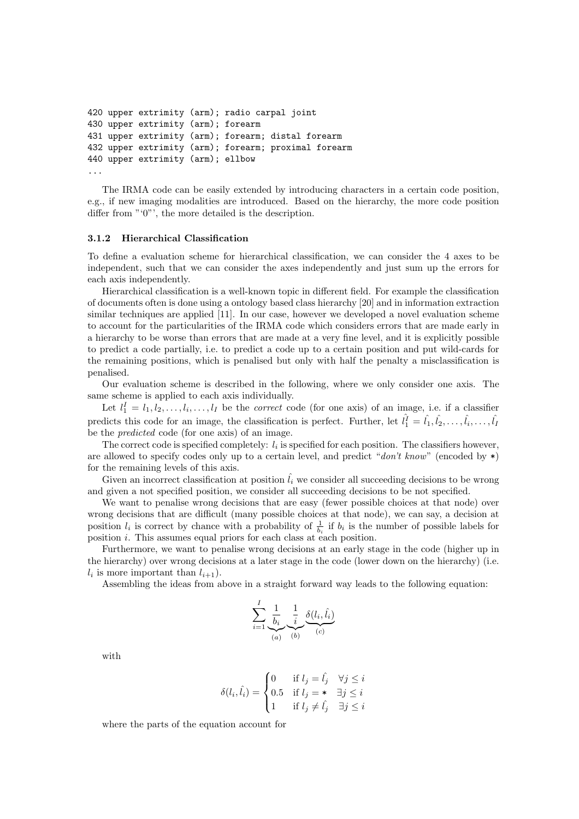```
420 upper extrimity (arm); radio carpal joint
430 upper extrimity (arm); forearm
431 upper extrimity (arm); forearm; distal forearm
432 upper extrimity (arm); forearm; proximal forearm
440 upper extrimity (arm); ellbow
...
```
The IRMA code can be easily extended by introducing characters in a certain code position, e.g., if new imaging modalities are introduced. Based on the hierarchy, the more code position differ from "'0"', the more detailed is the description.

#### 3.1.2 Hierarchical Classification

To define a evaluation scheme for hierarchical classification, we can consider the 4 axes to be independent, such that we can consider the axes independently and just sum up the errors for each axis independently.

Hierarchical classification is a well-known topic in different field. For example the classification of documents often is done using a ontology based class hierarchy [20] and in information extraction similar techniques are applied [11]. In our case, however we developed a novel evaluation scheme to account for the particularities of the IRMA code which considers errors that are made early in a hierarchy to be worse than errors that are made at a very fine level, and it is explicitly possible to predict a code partially, i.e. to predict a code up to a certain position and put wild-cards for the remaining positions, which is penalised but only with half the penalty a misclassification is penalised.

Our evaluation scheme is described in the following, where we only consider one axis. The same scheme is applied to each axis individually.

Let  $l_1^I = l_1, l_2, \ldots, l_i, \ldots, l_I$  be the *correct* code (for one axis) of an image, i.e. if a classifier predicts this code for an image, the classification is perfect. Further, let  $\hat{l}_1^{\hat{i}} = \hat{l}_1, \hat{l}_2, \dots, \hat{l}_i, \dots, \hat{l}_i$ be the predicted code (for one axis) of an image.

The correct code is specified completely:  $l_i$  is specified for each position. The classifiers however, are allowed to specify codes only up to a certain level, and predict "don't know" (encoded by  $\ast$ ) for the remaining levels of this axis.

Given an incorrect classification at position  $\hat{l}_i$  we consider all succeeding decisions to be wrong and given a not specified position, we consider all succeeding decisions to be not specified.

We want to penalise wrong decisions that are easy (fewer possible choices at that node) over wrong decisions that are difficult (many possible choices at that node), we can say, a decision at position  $l_i$  is correct by chance with a probability of  $\frac{1}{b_i}$  if  $b_i$  is the number of possible labels for position i. This assumes equal priors for each class at each position.

Furthermore, we want to penalise wrong decisions at an early stage in the code (higher up in the hierarchy) over wrong decisions at a later stage in the code (lower down on the hierarchy) (i.e.  $l_i$  is more important than  $l_{i+1}$ ).

Assembling the ideas from above in a straight forward way leads to the following equation:

$$
\sum_{i=1}^{I} \underbrace{\frac{1}{b_i}}_{(a)} \underbrace{\frac{1}{i}}_{(b)} \underbrace{\delta(l_i, \hat{l_i})}_{(c)}
$$

with

$$
\delta(l_i, \hat{l_i}) = \begin{cases}\n0 & \text{if } l_j = \hat{l_j} & \forall j \leq i \\
0.5 & \text{if } l_j = * \quad \exists j \leq i \\
1 & \text{if } l_j \neq \hat{l_j} & \exists j \leq i\n\end{cases}
$$

where the parts of the equation account for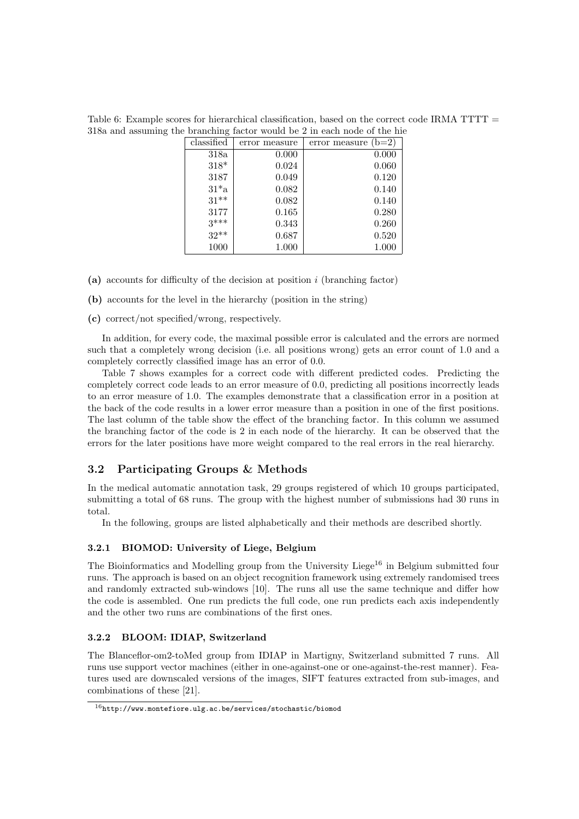Table 6: Example scores for hierarchical classification, based on the correct code IRMA TTTT = 318a and assuming the branching factor would be 2 in each node of the hie

| classified | error measure | $b=2$<br>error measure |
|------------|---------------|------------------------|
| 318a       | 0.000         | 0.000                  |
| $318*$     | 0.024         | 0.060                  |
| 3187       | 0.049         | 0.120                  |
| $31^*a$    | 0.082         | 0.140                  |
| $31***$    | 0.082         | 0.140                  |
| 3177       | 0.165         | 0.280                  |
| $3***$     | 0.343         | 0.260                  |
| $32**$     | 0.687         | 0.520                  |
| 1000       | 1.000         | 1.000                  |
|            |               |                        |

- (a) accounts for difficulty of the decision at position  $i$  (branching factor)
- (b) accounts for the level in the hierarchy (position in the string)
- (c) correct/not specified/wrong, respectively.

In addition, for every code, the maximal possible error is calculated and the errors are normed such that a completely wrong decision (i.e. all positions wrong) gets an error count of 1.0 and a completely correctly classified image has an error of 0.0.

Table 7 shows examples for a correct code with different predicted codes. Predicting the completely correct code leads to an error measure of 0.0, predicting all positions incorrectly leads to an error measure of 1.0. The examples demonstrate that a classification error in a position at the back of the code results in a lower error measure than a position in one of the first positions. The last column of the table show the effect of the branching factor. In this column we assumed the branching factor of the code is 2 in each node of the hierarchy. It can be observed that the errors for the later positions have more weight compared to the real errors in the real hierarchy.

# 3.2 Participating Groups & Methods

In the medical automatic annotation task, 29 groups registered of which 10 groups participated, submitting a total of 68 runs. The group with the highest number of submissions had 30 runs in total.

In the following, groups are listed alphabetically and their methods are described shortly.

### 3.2.1 BIOMOD: University of Liege, Belgium

The Bioinformatics and Modelling group from the University Liege<sup>16</sup> in Belgium submitted four runs. The approach is based on an object recognition framework using extremely randomised trees and randomly extracted sub-windows [10]. The runs all use the same technique and differ how the code is assembled. One run predicts the full code, one run predicts each axis independently and the other two runs are combinations of the first ones.

### 3.2.2 BLOOM: IDIAP, Switzerland

The Blanceflor-om2-toMed group from IDIAP in Martigny, Switzerland submitted 7 runs. All runs use support vector machines (either in one-against-one or one-against-the-rest manner). Features used are downscaled versions of the images, SIFT features extracted from sub-images, and combinations of these [21].

 $\frac{16 \text{http://www.montefiore.ulg.ac.be/services/stochastic/biomod}}{}$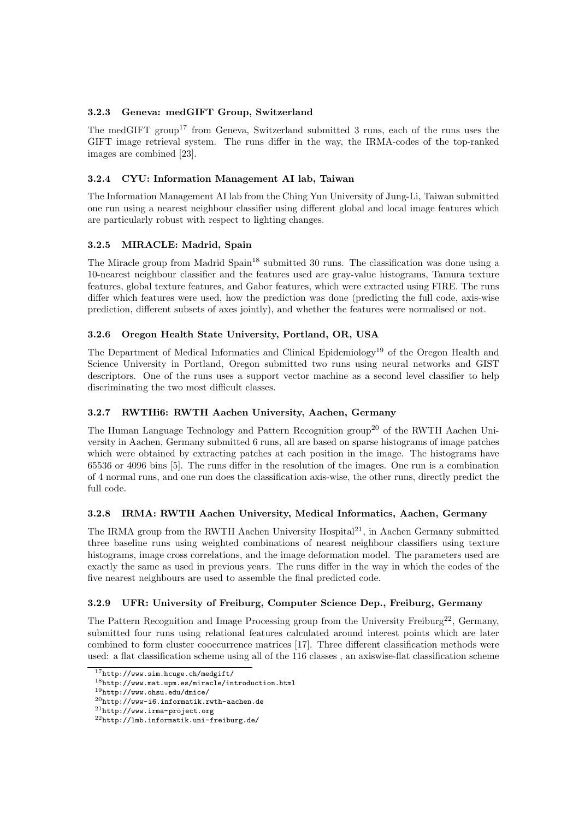#### 3.2.3 Geneva: medGIFT Group, Switzerland

The medGIFT group<sup>17</sup> from Geneva, Switzerland submitted 3 runs, each of the runs uses the GIFT image retrieval system. The runs differ in the way, the IRMA-codes of the top-ranked images are combined [23].

#### 3.2.4 CYU: Information Management AI lab, Taiwan

The Information Management AI lab from the Ching Yun University of Jung-Li, Taiwan submitted one run using a nearest neighbour classifier using different global and local image features which are particularly robust with respect to lighting changes.

### 3.2.5 MIRACLE: Madrid, Spain

The Miracle group from Madrid Spain<sup>18</sup> submitted 30 runs. The classification was done using a 10-nearest neighbour classifier and the features used are gray-value histograms, Tamura texture features, global texture features, and Gabor features, which were extracted using FIRE. The runs differ which features were used, how the prediction was done (predicting the full code, axis-wise prediction, different subsets of axes jointly), and whether the features were normalised or not.

#### 3.2.6 Oregon Health State University, Portland, OR, USA

The Department of Medical Informatics and Clinical Epidemiology<sup>19</sup> of the Oregon Health and Science University in Portland, Oregon submitted two runs using neural networks and GIST descriptors. One of the runs uses a support vector machine as a second level classifier to help discriminating the two most difficult classes.

#### 3.2.7 RWTHi6: RWTH Aachen University, Aachen, Germany

The Human Language Technology and Pattern Recognition group<sup>20</sup> of the RWTH Aachen University in Aachen, Germany submitted 6 runs, all are based on sparse histograms of image patches which were obtained by extracting patches at each position in the image. The histograms have 65536 or 4096 bins [5]. The runs differ in the resolution of the images. One run is a combination of 4 normal runs, and one run does the classification axis-wise, the other runs, directly predict the full code.

#### 3.2.8 IRMA: RWTH Aachen University, Medical Informatics, Aachen, Germany

The IRMA group from the RWTH Aachen University Hospital<sup>21</sup>, in Aachen Germany submitted three baseline runs using weighted combinations of nearest neighbour classifiers using texture histograms, image cross correlations, and the image deformation model. The parameters used are exactly the same as used in previous years. The runs differ in the way in which the codes of the five nearest neighbours are used to assemble the final predicted code.

#### 3.2.9 UFR: University of Freiburg, Computer Science Dep., Freiburg, Germany

The Pattern Recognition and Image Processing group from the University Freiburg<sup>22</sup>, Germany, submitted four runs using relational features calculated around interest points which are later combined to form cluster cooccurrence matrices [17]. Three different classification methods were used: a flat classification scheme using all of the 116 classes , an axiswise-flat classification scheme

<sup>17</sup>http://www.sim.hcuge.ch/medgift/

<sup>18</sup>http://www.mat.upm.es/miracle/introduction.html

<sup>19</sup>http://www.ohsu.edu/dmice/

<sup>20</sup>http://www-i6.informatik.rwth-aachen.de

<sup>21</sup>http://www.irma-project.org

<sup>22</sup>http://lmb.informatik.uni-freiburg.de/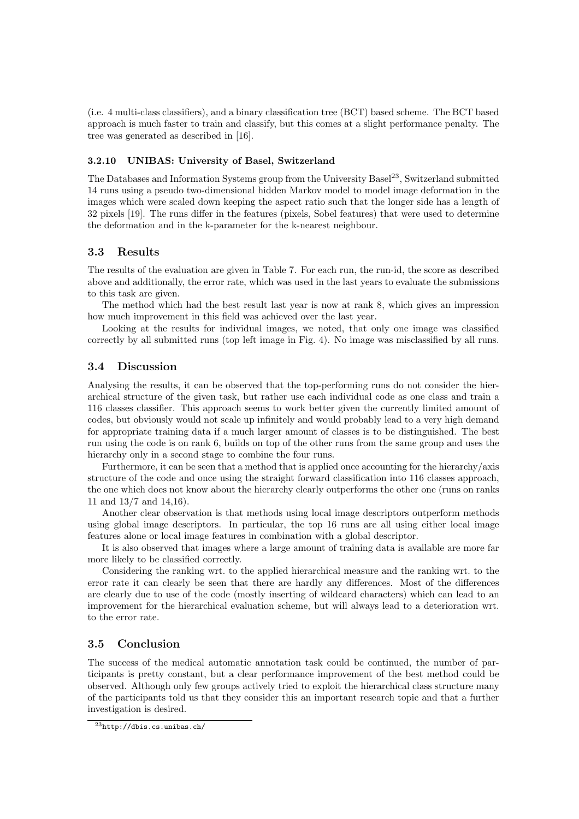(i.e. 4 multi-class classifiers), and a binary classification tree (BCT) based scheme. The BCT based approach is much faster to train and classify, but this comes at a slight performance penalty. The tree was generated as described in [16].

#### 3.2.10 UNIBAS: University of Basel, Switzerland

The Databases and Information Systems group from the University Basel<sup>23</sup>, Switzerland submitted 14 runs using a pseudo two-dimensional hidden Markov model to model image deformation in the images which were scaled down keeping the aspect ratio such that the longer side has a length of 32 pixels [19]. The runs differ in the features (pixels, Sobel features) that were used to determine the deformation and in the k-parameter for the k-nearest neighbour.

# 3.3 Results

The results of the evaluation are given in Table 7. For each run, the run-id, the score as described above and additionally, the error rate, which was used in the last years to evaluate the submissions to this task are given.

The method which had the best result last year is now at rank 8, which gives an impression how much improvement in this field was achieved over the last year.

Looking at the results for individual images, we noted, that only one image was classified correctly by all submitted runs (top left image in Fig. 4). No image was misclassified by all runs.

# 3.4 Discussion

Analysing the results, it can be observed that the top-performing runs do not consider the hierarchical structure of the given task, but rather use each individual code as one class and train a 116 classes classifier. This approach seems to work better given the currently limited amount of codes, but obviously would not scale up infinitely and would probably lead to a very high demand for appropriate training data if a much larger amount of classes is to be distinguished. The best run using the code is on rank 6, builds on top of the other runs from the same group and uses the hierarchy only in a second stage to combine the four runs.

Furthermore, it can be seen that a method that is applied once accounting for the hierarchy/axis structure of the code and once using the straight forward classification into 116 classes approach, the one which does not know about the hierarchy clearly outperforms the other one (runs on ranks 11 and 13/7 and 14,16).

Another clear observation is that methods using local image descriptors outperform methods using global image descriptors. In particular, the top 16 runs are all using either local image features alone or local image features in combination with a global descriptor.

It is also observed that images where a large amount of training data is available are more far more likely to be classified correctly.

Considering the ranking wrt. to the applied hierarchical measure and the ranking wrt. to the error rate it can clearly be seen that there are hardly any differences. Most of the differences are clearly due to use of the code (mostly inserting of wildcard characters) which can lead to an improvement for the hierarchical evaluation scheme, but will always lead to a deterioration wrt. to the error rate.

# 3.5 Conclusion

The success of the medical automatic annotation task could be continued, the number of participants is pretty constant, but a clear performance improvement of the best method could be observed. Although only few groups actively tried to exploit the hierarchical class structure many of the participants told us that they consider this an important research topic and that a further investigation is desired.

<sup>23</sup>http://dbis.cs.unibas.ch/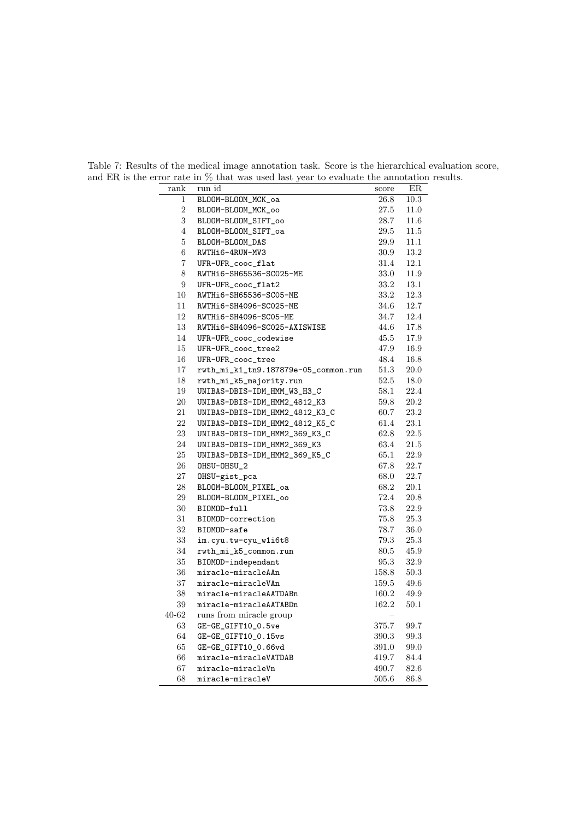Table 7: Results of the medical image annotation task. Score is the hierarchical evaluation score, and ER is the error rate in % that was used last year to evaluate the annotation results.

| rank           | run id                               | score | ER       |
|----------------|--------------------------------------|-------|----------|
| $\mathbf 1$    | BLOOM-BLOOM_MCK_oa                   | 26.8  | 10.3     |
| $\overline{2}$ | BLOOM-BLOOM_MCK_00                   | 27.5  | 11.0     |
| 3              | BLOOM-BLOOM_SIFT_oo                  | 28.7  | 11.6     |
| $\overline{4}$ | BLOOM-BLOOM_SIFT_oa                  | 29.5  | 11.5     |
| $\overline{5}$ | BLOOM-BLOOM_DAS                      | 29.9  | 11.1     |
| 6              | RWTHi6-4RUN-MV3                      | 30.9  | 13.2     |
| 7              | UFR-UFR_cooc_flat                    | 31.4  | 12.1     |
| 8              | RWTHi6-SH65536-SC025-ME              | 33.0  | 11.9     |
| 9              | UFR-UFR_cooc_flat2                   | 33.2  | 13.1     |
| 10             | RWTHi6-SH65536-SC05-ME               | 33.2  | 12.3     |
| 11             | RWTHi6-SH4096-SC025-ME               | 34.6  | 12.7     |
| 12             | RWTHi6-SH4096-SC05-ME                | 34.7  | 12.4     |
| 13             | RWTHi6-SH4096-SC025-AXISWISE         | 44.6  | 17.8     |
| 14             | UFR-UFR_cooc_codewise                | 45.5  | 17.9     |
| 15             | UFR-UFR_cooc_tree2                   | 47.9  | 16.9     |
| 16             | UFR-UFR_cooc_tree                    | 48.4  | 16.8     |
| 17             | rwth_mi_k1_tn9.187879e-05_common.run | 51.3  | 20.0     |
| 18             | rwth_mi_k5_majority.run              | 52.5  | 18.0     |
| 19             | UNIBAS-DBIS-IDM_HMM_W3_H3_C          | 58.1  | 22.4     |
| 20             | UNIBAS-DBIS-IDM_HMM2_4812_K3         | 59.8  | 20.2     |
| 21             | UNIBAS-DBIS-IDM_HMM2_4812_K3_C       | 60.7  | 23.2     |
| 22             | UNIBAS-DBIS-IDM_HMM2_4812_K5_C       | 61.4  | 23.1     |
| 23             | UNIBAS-DBIS-IDM_HMM2_369_K3_C        | 62.8  | $22.5\,$ |
| 24             | UNIBAS-DBIS-IDM_HMM2_369_K3          | 63.4  | 21.5     |
| 25             | UNIBAS-DBIS-IDM_HMM2_369_K5_C        | 65.1  | 22.9     |
| 26             | OHSU-OHSU_2                          | 67.8  | 22.7     |
| 27             | OHSU-gist_pca                        | 68.0  | 22.7     |
| 28             | BLOOM-BLOOM_PIXEL_oa                 | 68.2  | 20.1     |
| 29             | BLOOM-BLOOM_PIXEL_00                 | 72.4  | 20.8     |
| 30             | BIOMOD-full                          | 73.8  | 22.9     |
| 31             | BIOMOD-correction                    | 75.8  | 25.3     |
| 32             | BIOMOD-safe                          | 78.7  | 36.0     |
| 33             | im.cyu.tw-cyu_w1i6t8                 | 79.3  | 25.3     |
| 34             | rwth_mi_k5_common.run                | 80.5  | 45.9     |
| 35             | BIOMOD-independant                   | 95.3  | 32.9     |
| 36             | miracle-miracleAAn                   | 158.8 | 50.3     |
| 37             | miracle-miracleVAn                   | 159.5 | 49.6     |
| 38             | miracle-miracleAATDABn               | 160.2 | 49.9     |
| 39             | miracle-miracleAATABDn               | 162.2 | 50.1     |
| 40-62          | runs from miracle group              |       |          |
| 63             | GE-GE_GIFT10_0.5ve                   | 375.7 | 99.7     |
| 64             | GE-GE_GIFT10_0.15vs                  | 390.3 | 99.3     |
| 65             | GE-GE_GIFT10_0.66vd                  | 391.0 | 99.0     |
| 66             | miracle-miracleVATDAB                | 419.7 | 84.4     |
| 67             | miracle-miracleVn                    | 490.7 | 82.6     |
| 68             | miracle-miracleV                     | 505.6 | 86.8     |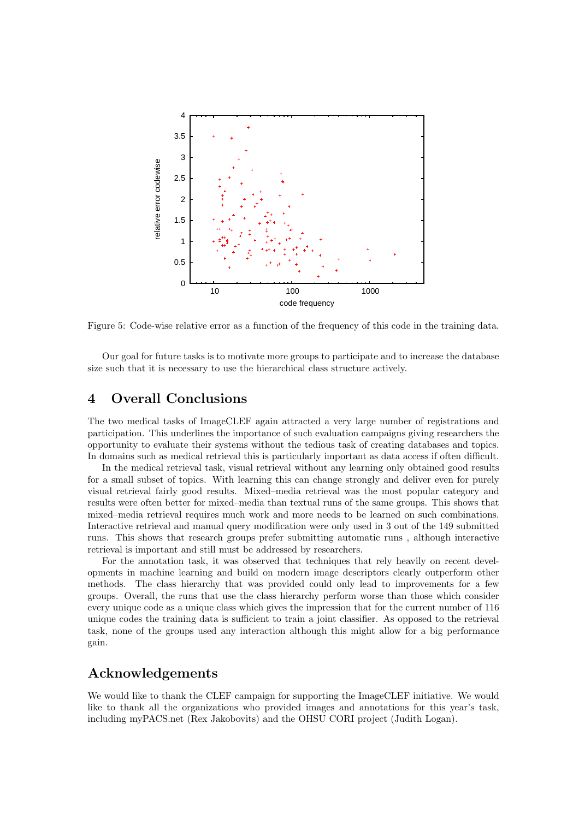

Figure 5: Code-wise relative error as a function of the frequency of this code in the training data.

Our goal for future tasks is to motivate more groups to participate and to increase the database size such that it is necessary to use the hierarchical class structure actively.

# 4 Overall Conclusions

The two medical tasks of ImageCLEF again attracted a very large number of registrations and participation. This underlines the importance of such evaluation campaigns giving researchers the opportunity to evaluate their systems without the tedious task of creating databases and topics. In domains such as medical retrieval this is particularly important as data access if often difficult.

In the medical retrieval task, visual retrieval without any learning only obtained good results for a small subset of topics. With learning this can change strongly and deliver even for purely visual retrieval fairly good results. Mixed–media retrieval was the most popular category and results were often better for mixed–media than textual runs of the same groups. This shows that mixed–media retrieval requires much work and more needs to be learned on such combinations. Interactive retrieval and manual query modification were only used in 3 out of the 149 submitted runs. This shows that research groups prefer submitting automatic runs , although interactive retrieval is important and still must be addressed by researchers.

For the annotation task, it was observed that techniques that rely heavily on recent developments in machine learning and build on modern image descriptors clearly outperform other methods. The class hierarchy that was provided could only lead to improvements for a few groups. Overall, the runs that use the class hierarchy perform worse than those which consider every unique code as a unique class which gives the impression that for the current number of 116 unique codes the training data is sufficient to train a joint classifier. As opposed to the retrieval task, none of the groups used any interaction although this might allow for a big performance gain.

# Acknowledgements

We would like to thank the CLEF campaign for supporting the ImageCLEF initiative. We would like to thank all the organizations who provided images and annotations for this year's task, including myPACS.net (Rex Jakobovits) and the OHSU CORI project (Judith Logan).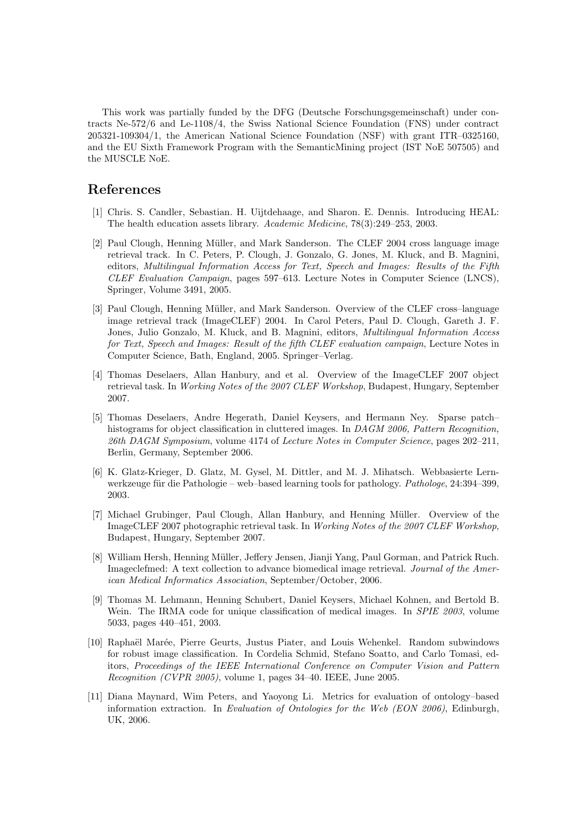This work was partially funded by the DFG (Deutsche Forschungsgemeinschaft) under contracts Ne-572/6 and Le-1108/4, the Swiss National Science Foundation (FNS) under contract 205321-109304/1, the American National Science Foundation (NSF) with grant ITR–0325160, and the EU Sixth Framework Program with the SemanticMining project (IST NoE 507505) and the MUSCLE NoE.

# References

- [1] Chris. S. Candler, Sebastian. H. Uijtdehaage, and Sharon. E. Dennis. Introducing HEAL: The health education assets library. Academic Medicine, 78(3):249–253, 2003.
- [2] Paul Clough, Henning Müller, and Mark Sanderson. The CLEF 2004 cross language image retrieval track. In C. Peters, P. Clough, J. Gonzalo, G. Jones, M. Kluck, and B. Magnini, editors, Multilingual Information Access for Text, Speech and Images: Results of the Fifth CLEF Evaluation Campaign, pages 597–613. Lecture Notes in Computer Science (LNCS), Springer, Volume 3491, 2005.
- [3] Paul Clough, Henning M¨uller, and Mark Sanderson. Overview of the CLEF cross–language image retrieval track (ImageCLEF) 2004. In Carol Peters, Paul D. Clough, Gareth J. F. Jones, Julio Gonzalo, M. Kluck, and B. Magnini, editors, Multilingual Information Access for Text, Speech and Images: Result of the fifth CLEF evaluation campaign, Lecture Notes in Computer Science, Bath, England, 2005. Springer–Verlag.
- [4] Thomas Deselaers, Allan Hanbury, and et al. Overview of the ImageCLEF 2007 object retrieval task. In Working Notes of the 2007 CLEF Workshop, Budapest, Hungary, September 2007.
- [5] Thomas Deselaers, Andre Hegerath, Daniel Keysers, and Hermann Ney. Sparse patch– histograms for object classification in cluttered images. In DAGM 2006, Pattern Recognition, 26th DAGM Symposium, volume 4174 of Lecture Notes in Computer Science, pages 202–211, Berlin, Germany, September 2006.
- [6] K. Glatz-Krieger, D. Glatz, M. Gysel, M. Dittler, and M. J. Mihatsch. Webbasierte Lernwerkzeuge für die Pathologie – web–based learning tools for pathology.  $Patholog$ ,  $24:394-399$ , 2003.
- [7] Michael Grubinger, Paul Clough, Allan Hanbury, and Henning Müller. Overview of the ImageCLEF 2007 photographic retrieval task. In Working Notes of the 2007 CLEF Workshop, Budapest, Hungary, September 2007.
- [8] William Hersh, Henning M¨uller, Jeffery Jensen, Jianji Yang, Paul Gorman, and Patrick Ruch. Imageclefmed: A text collection to advance biomedical image retrieval. Journal of the American Medical Informatics Association, September/October, 2006.
- [9] Thomas M. Lehmann, Henning Schubert, Daniel Keysers, Michael Kohnen, and Bertold B. Wein. The IRMA code for unique classification of medical images. In *SPIE 2003*, volume 5033, pages 440–451, 2003.
- [10] Raphaël Marée, Pierre Geurts, Justus Piater, and Louis Wehenkel. Random subwindows for robust image classification. In Cordelia Schmid, Stefano Soatto, and Carlo Tomasi, editors, Proceedings of the IEEE International Conference on Computer Vision and Pattern Recognition (CVPR 2005), volume 1, pages 34–40. IEEE, June 2005.
- [11] Diana Maynard, Wim Peters, and Yaoyong Li. Metrics for evaluation of ontology–based information extraction. In Evaluation of Ontologies for the Web (EON 2006), Edinburgh, UK, 2006.